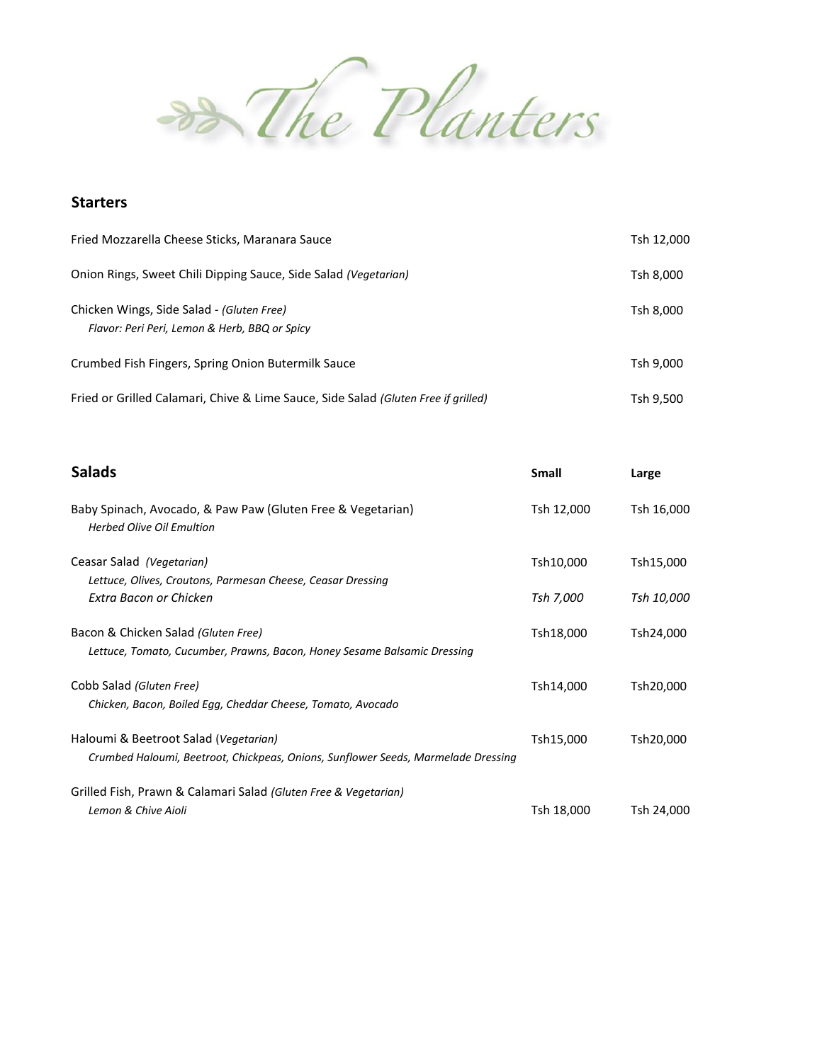<del>88</del> The Planters

## **Starters**

| Fried Mozzarella Cheese Sticks, Maranara Sauce                                             | Tsh 12,000 |
|--------------------------------------------------------------------------------------------|------------|
| Onion Rings, Sweet Chili Dipping Sauce, Side Salad (Vegetarian)                            | Tsh 8,000  |
| Chicken Wings, Side Salad - (Gluten Free)<br>Flavor: Peri Peri, Lemon & Herb, BBQ or Spicy | Tsh 8,000  |
| Crumbed Fish Fingers, Spring Onion Butermilk Sauce                                         | Tsh 9,000  |
| Fried or Grilled Calamari, Chive & Lime Sauce, Side Salad (Gluten Free if grilled)         | Tsh 9,500  |

| <b>Salads</b>                                                                                                              | <b>Small</b> | Large      |
|----------------------------------------------------------------------------------------------------------------------------|--------------|------------|
| Baby Spinach, Avocado, & Paw Paw (Gluten Free & Vegetarian)<br><b>Herbed Olive Oil Emultion</b>                            | Tsh 12,000   | Tsh 16,000 |
| Ceasar Salad (Vegetarian)<br>Lettuce, Olives, Croutons, Parmesan Cheese, Ceasar Dressing                                   | Tsh10,000    | Tsh15,000  |
| Extra Bacon or Chicken                                                                                                     | Tsh 7,000    | Tsh 10,000 |
| Bacon & Chicken Salad (Gluten Free)<br>Lettuce, Tomato, Cucumber, Prawns, Bacon, Honey Sesame Balsamic Dressing            | Tsh18,000    | Tsh24,000  |
| Cobb Salad (Gluten Free)<br>Chicken, Bacon, Boiled Egg, Cheddar Cheese, Tomato, Avocado                                    | Tsh14,000    | Tsh20,000  |
| Haloumi & Beetroot Salad (Vegetarian)<br>Crumbed Haloumi, Beetroot, Chickpeas, Onions, Sunflower Seeds, Marmelade Dressing | Tsh15,000    | Tsh20,000  |
| Grilled Fish, Prawn & Calamari Salad (Gluten Free & Vegetarian)<br>Lemon & Chive Aioli                                     | Tsh 18,000   | Tsh 24,000 |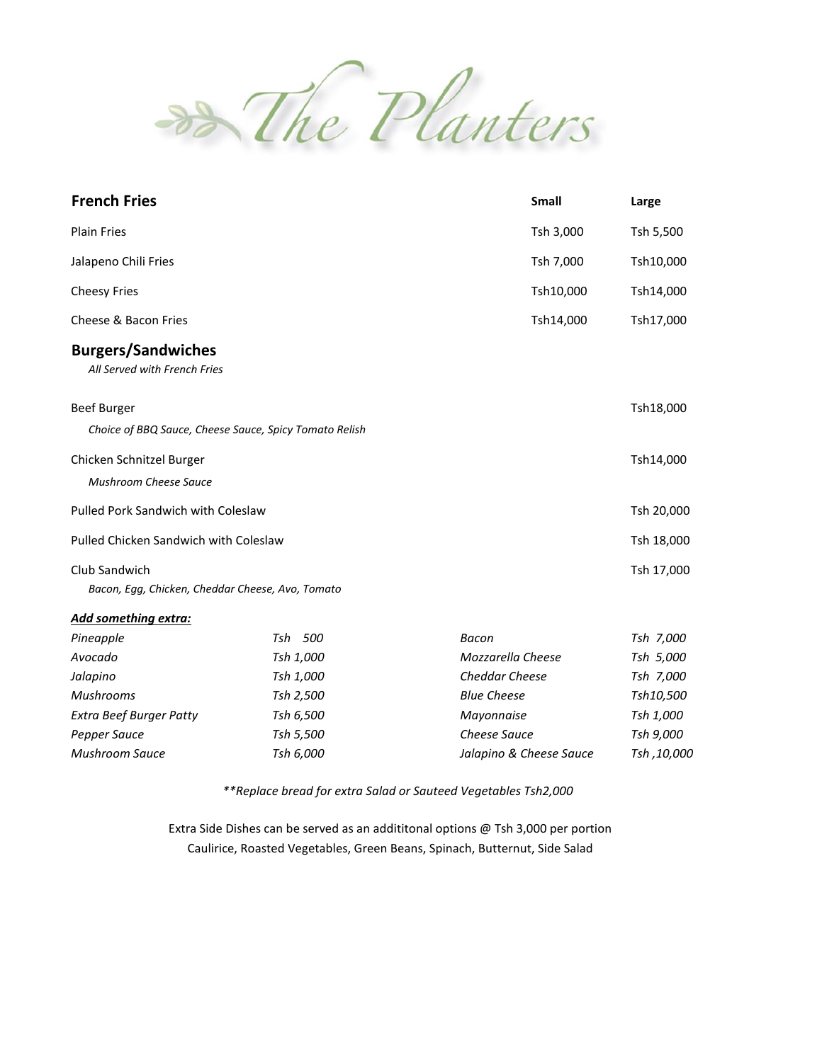

| <b>French Fries</b>                                                          |           | <b>Small</b>            | Large       |
|------------------------------------------------------------------------------|-----------|-------------------------|-------------|
| <b>Plain Fries</b>                                                           |           | Tsh 3,000               | Tsh 5,500   |
| Jalapeno Chili Fries                                                         |           | Tsh 7,000               | Tsh10,000   |
| <b>Cheesy Fries</b>                                                          |           | Tsh10,000               | Tsh14,000   |
| Cheese & Bacon Fries                                                         |           | Tsh14,000               | Tsh17,000   |
| <b>Burgers/Sandwiches</b><br>All Served with French Fries                    |           |                         |             |
| <b>Beef Burger</b><br>Choice of BBQ Sauce, Cheese Sauce, Spicy Tomato Relish |           |                         | Tsh18,000   |
| Chicken Schnitzel Burger<br>Mushroom Cheese Sauce                            |           |                         | Tsh14,000   |
| Pulled Pork Sandwich with Coleslaw                                           |           |                         | Tsh 20,000  |
| Pulled Chicken Sandwich with Coleslaw                                        |           |                         | Tsh 18,000  |
| Club Sandwich<br>Bacon, Egg, Chicken, Cheddar Cheese, Avo, Tomato            |           |                         | Tsh 17,000  |
| <b>Add something extra:</b>                                                  |           |                         |             |
| Pineapple                                                                    | Tsh 500   | Bacon                   | Tsh 7,000   |
| Avocado                                                                      | Tsh 1,000 | Mozzarella Cheese       | Tsh 5,000   |
| Jalapino                                                                     | Tsh 1,000 | Cheddar Cheese          | Tsh 7,000   |
| <b>Mushrooms</b>                                                             | Tsh 2,500 | <b>Blue Cheese</b>      | Tsh10,500   |
| <b>Extra Beef Burger Patty</b>                                               | Tsh 6,500 | Mayonnaise              | Tsh 1,000   |
| Pepper Sauce                                                                 | Tsh 5,500 | Cheese Sauce            | Tsh 9,000   |
| <b>Mushroom Sauce</b>                                                        | Tsh 6,000 | Jalapino & Cheese Sauce | Tsh, 10,000 |

*\*\*Replace bread for extra Salad or Sauteed Vegetables Tsh2,000*

Extra Side Dishes can be served as an addititonal options @ Tsh 3,000 per portion Caulirice, Roasted Vegetables, Green Beans, Spinach, Butternut, Side Salad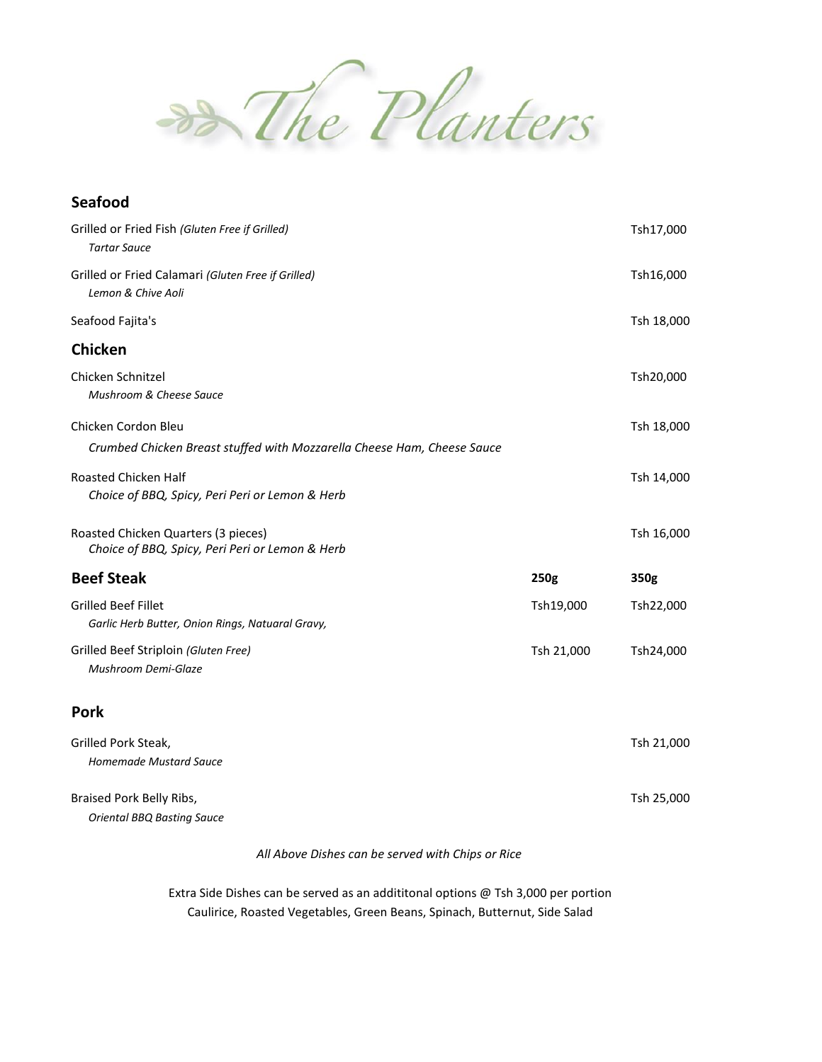Banters

## **Seafood**

| Grilled or Fried Fish (Gluten Free if Grilled)<br><b>Tartar Sauce</b>                  |            | Tsh17,000  |
|----------------------------------------------------------------------------------------|------------|------------|
| Grilled or Fried Calamari (Gluten Free if Grilled)<br>Lemon & Chive Aoli               |            | Tsh16,000  |
| Seafood Fajita's                                                                       |            | Tsh 18,000 |
| <b>Chicken</b>                                                                         |            |            |
| Chicken Schnitzel<br>Mushroom & Cheese Sauce                                           |            | Tsh20,000  |
| Chicken Cordon Bleu                                                                    |            | Tsh 18,000 |
| Crumbed Chicken Breast stuffed with Mozzarella Cheese Ham, Cheese Sauce                |            |            |
| Roasted Chicken Half<br>Choice of BBQ, Spicy, Peri Peri or Lemon & Herb                |            | Tsh 14,000 |
| Roasted Chicken Quarters (3 pieces)<br>Choice of BBQ, Spicy, Peri Peri or Lemon & Herb |            | Tsh 16,000 |
| <b>Beef Steak</b>                                                                      | 250g       | 350g       |
| <b>Grilled Beef Fillet</b><br>Garlic Herb Butter, Onion Rings, Natuaral Gravy,         | Tsh19,000  | Tsh22,000  |
| Grilled Beef Striploin (Gluten Free)<br>Mushroom Demi-Glaze                            | Tsh 21,000 | Tsh24,000  |
| <b>Pork</b>                                                                            |            |            |
| Grilled Pork Steak,                                                                    |            | Tsh 21,000 |
| Homemade Mustard Sauce                                                                 |            |            |
| Braised Pork Belly Ribs,<br><b>Oriental BBQ Basting Sauce</b>                          |            | Tsh 25,000 |
|                                                                                        |            |            |

*All Above Dishes can be served with Chips or Rice*

Extra Side Dishes can be served as an addititonal options @ Tsh 3,000 per portion Caulirice, Roasted Vegetables, Green Beans, Spinach, Butternut, Side Salad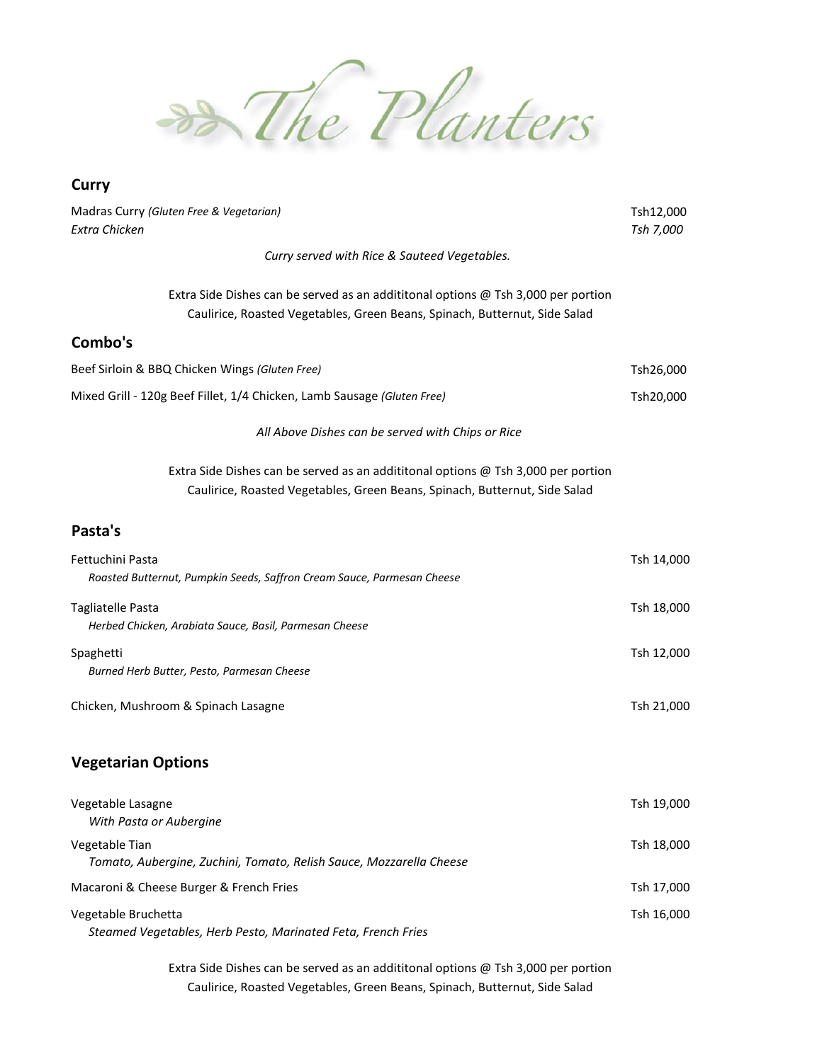

## **Curry**

| Madras Curry (Gluten Free & Vegetarian)<br><b>Extra Chicken</b>                                                                                                 | Tsh12,000  |
|-----------------------------------------------------------------------------------------------------------------------------------------------------------------|------------|
|                                                                                                                                                                 | Tsh 7,000  |
| Curry served with Rice & Sauteed Vegetables.                                                                                                                    |            |
| Extra Side Dishes can be served as an addititonal options @ Tsh 3,000 per portion<br>Caulirice, Roasted Vegetables, Green Beans, Spinach, Butternut, Side Salad |            |
| Combo's                                                                                                                                                         |            |
| Beef Sirloin & BBQ Chicken Wings (Gluten Free)                                                                                                                  | Tsh26,000  |
| Mixed Grill - 120g Beef Fillet, 1/4 Chicken, Lamb Sausage (Gluten Free)                                                                                         | Tsh20,000  |
| All Above Dishes can be served with Chips or Rice                                                                                                               |            |
| Extra Side Dishes can be served as an addititonal options @ Tsh 3,000 per portion<br>Caulirice, Roasted Vegetables, Green Beans, Spinach, Butternut, Side Salad |            |
| Pasta's                                                                                                                                                         |            |
| Fettuchini Pasta<br>Roasted Butternut, Pumpkin Seeds, Saffron Cream Sauce, Parmesan Cheese                                                                      | Tsh 14,000 |
| <b>Tagliatelle Pasta</b><br>Herbed Chicken, Arabiata Sauce, Basil, Parmesan Cheese                                                                              | Tsh 18,000 |
| Spaghetti<br>Burned Herb Butter, Pesto, Parmesan Cheese                                                                                                         | Tsh 12,000 |
| Chicken, Mushroom & Spinach Lasagne                                                                                                                             | Tsh 21,000 |
| <b>Vegetarian Options</b>                                                                                                                                       |            |
| Vegetable Lasagne<br>With Pasta or Aubergine                                                                                                                    | Tsh 19,000 |
| Vegetable Tian                                                                                                                                                  | Tsh 18,000 |

Macaroni & Cheese Burger & French Fries Tsh 17,000 States Assessment Research Fries Tsh 17,000 Vegetable Bruchetta Tsh 16,000 *Steamed Vegetables, Herb Pesto, Marinated Feta, French Fries*

*Tomato, Aubergine, Zuchini, Tomato, Relish Sauce, Mozzarella Cheese*

Extra Side Dishes can be served as an addititonal options @ Tsh 3,000 per portion Caulirice, Roasted Vegetables, Green Beans, Spinach, Butternut, Side Salad